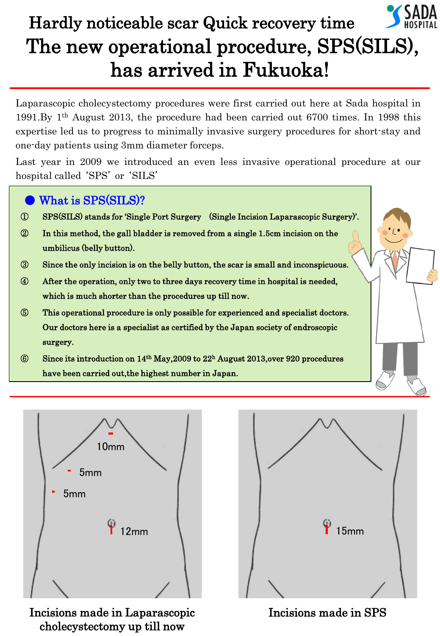

## The new operational procedure, SPS(SILS), has arrived in Fukuoka! Hardly noticeable scar Quick recovery time

 Laparascopic cholecystectomy procedures were first carried out here at Sada hospital in 1991.By 1th August 2013, the procedure had been carried out 6700 times. In 1998 this expertise led us to progress to minimally invasive surgery procedures for short-stay and one-day patients using 3mm diameter forceps.

Last year in 2009 we introduced an even less invasive operational procedure at our hospital called 'SPS' or 'SILS'





Incisions made in Laparascopic cholecystectomy up till now



Incisions made in SPS